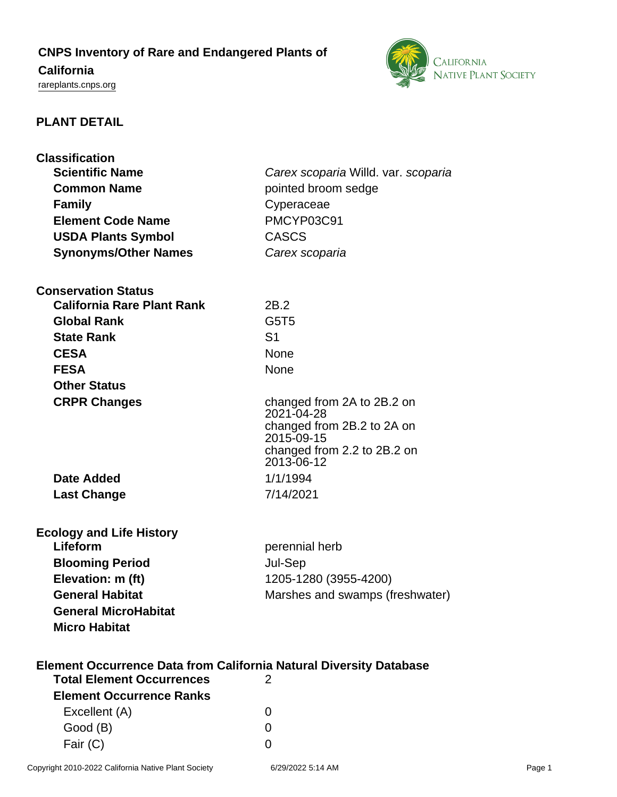# **CNPS Inventory of Rare and Endangered Plants of**

# **California**

<rareplants.cnps.org>



## **PLANT DETAIL**

| <b>Classification</b>                                                     |                                           |  |
|---------------------------------------------------------------------------|-------------------------------------------|--|
| <b>Scientific Name</b>                                                    | Carex scoparia Willd. var. scoparia       |  |
| <b>Common Name</b>                                                        | pointed broom sedge                       |  |
| <b>Family</b>                                                             | Cyperaceae                                |  |
| <b>Element Code Name</b>                                                  | PMCYP03C91                                |  |
| <b>USDA Plants Symbol</b>                                                 | <b>CASCS</b>                              |  |
| <b>Synonyms/Other Names</b>                                               | Carex scoparia                            |  |
| <b>Conservation Status</b>                                                |                                           |  |
| <b>California Rare Plant Rank</b>                                         | 2B.2                                      |  |
| <b>Global Rank</b>                                                        | G5T5                                      |  |
| <b>State Rank</b>                                                         | S <sub>1</sub>                            |  |
| <b>CESA</b>                                                               | None                                      |  |
| <b>FESA</b>                                                               | <b>None</b>                               |  |
| <b>Other Status</b>                                                       |                                           |  |
| <b>CRPR Changes</b>                                                       | changed from 2A to 2B.2 on                |  |
|                                                                           | 2021-04-28                                |  |
|                                                                           | changed from 2B.2 to 2A on<br>2015-09-15  |  |
|                                                                           | changed from 2.2 to 2B.2 on<br>2013-06-12 |  |
| Date Added                                                                | 1/1/1994                                  |  |
| <b>Last Change</b>                                                        | 7/14/2021                                 |  |
| <b>Ecology and Life History</b>                                           |                                           |  |
| Lifeform                                                                  | perennial herb                            |  |
| <b>Blooming Period</b>                                                    | Jul-Sep                                   |  |
| Elevation: m (ft)                                                         | 1205-1280 (3955-4200)                     |  |
| <b>General Habitat</b>                                                    | Marshes and swamps (freshwater)           |  |
| <b>General MicroHabitat</b>                                               |                                           |  |
| <b>Micro Habitat</b>                                                      |                                           |  |
| <b>Element Occurrence Data from California Natural Diversity Database</b> |                                           |  |
| <b>Total Element Occurrences</b>                                          | 2                                         |  |
| <b>Element Occurrence Ranks</b>                                           |                                           |  |
| Excellent (A)                                                             | 0                                         |  |
| Good (B)                                                                  | 0                                         |  |

Fair (C) 0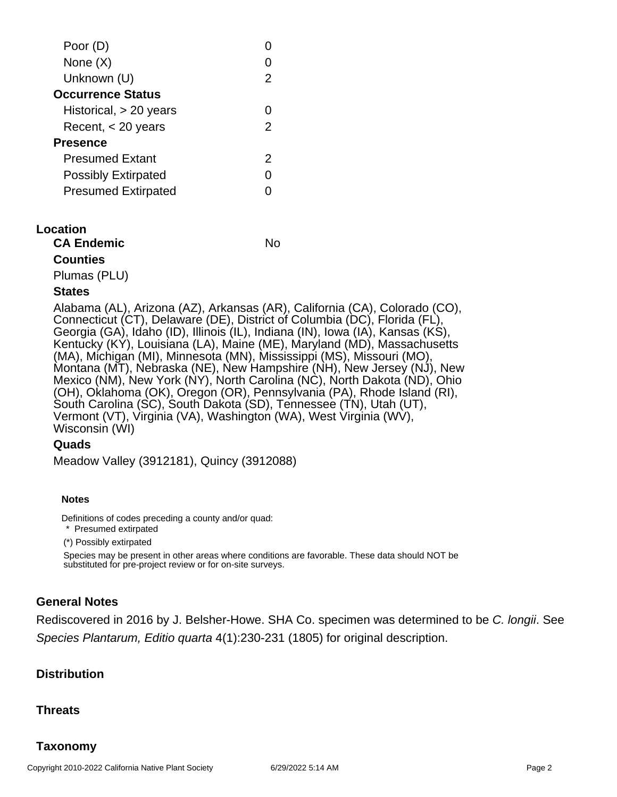| Poor (D)                   |   |
|----------------------------|---|
| None $(X)$                 |   |
| Unknown (U)                | 2 |
| <b>Occurrence Status</b>   |   |
| Historical, $> 20$ years   |   |
| Recent, < 20 years         | 2 |
| <b>Presence</b>            |   |
| <b>Presumed Extant</b>     | 2 |
| <b>Possibly Extirpated</b> | O |
| <b>Presumed Extirpated</b> |   |
|                            |   |

#### **Location**

## **CA Endemic** No

#### **Counties**

Plumas (PLU)

#### **States**

Alabama (AL), Arizona (AZ), Arkansas (AR), California (CA), Colorado (CO), Connecticut (CT), Delaware (DE), District of Columbia (DC), Florida (FL), Georgia (GA), Idaho (ID), Illinois (IL), Indiana (IN), Iowa (IA), Kansas (KS), Kentucky (KY), Louisiana (LA), Maine (ME), Maryland (MD), Massachusetts (MA), Michigan (MI), Minnesota (MN), Mississippi (MS), Missouri (MO), Montana (MT), Nebraska (NE), New Hampshire (NH), New Jersey (NJ), New Mexico (NM), New York (NY), North Carolina (NC), North Dakota (ND), Ohio (OH), Oklahoma (OK), Oregon (OR), Pennsylvania (PA), Rhode Island (RI), South Carolina (SC), South Dakota (SD), Tennessee (TN), Utah (UT), Vermont (VT), Virginia (VA), Washington (WA), West Virginia (WV), Wisconsin (WI)

#### **Quads**

Meadow Valley (3912181), Quincy (3912088)

#### **Notes**

Definitions of codes preceding a county and/or quad:

\* Presumed extirpated

(\*) Possibly extirpated

Species may be present in other areas where conditions are favorable. These data should NOT be substituted for pre-project review or for on-site surveys.

## **General Notes**

Rediscovered in 2016 by J. Belsher-Howe. SHA Co. specimen was determined to be C. longii. See Species Plantarum, Editio quarta 4(1):230-231 (1805) for original description.

## **Distribution**

## **Threats**

## **Taxonomy**